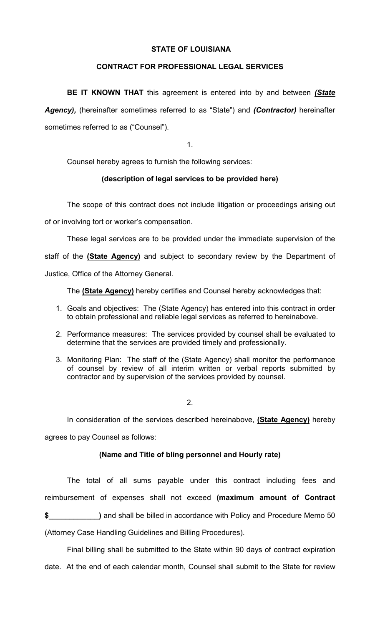## STATE OF LOUISIANA

## CONTRACT FOR PROFESSIONAL LEGAL SERVICES

BE IT KNOWN THAT this agreement is entered into by and between (State Agency), (hereinafter sometimes referred to as "State") and (Contractor) hereinafter sometimes referred to as ("Counsel").

1.

Counsel hereby agrees to furnish the following services:

# (description of legal services to be provided here)

The scope of this contract does not include litigation or proceedings arising out

of or involving tort or worker's compensation.

These legal services are to be provided under the immediate supervision of the

staff of the (State Agency) and subject to secondary review by the Department of

Justice, Office of the Attorney General.

The (State Agency) hereby certifies and Counsel hereby acknowledges that:

- 1. Goals and objectives: The (State Agency) has entered into this contract in order to obtain professional and reliable legal services as referred to hereinabove.
- 2. Performance measures: The services provided by counsel shall be evaluated to determine that the services are provided timely and professionally.
- 3. Monitoring Plan: The staff of the (State Agency) shall monitor the performance of counsel by review of all interim written or verbal reports submitted by contractor and by supervision of the services provided by counsel.

2.

In consideration of the services described hereinabove, (State Agency) hereby agrees to pay Counsel as follows:

# (Name and Title of bling personnel and Hourly rate)

 The total of all sums payable under this contract including fees and reimbursement of expenses shall not exceed (maximum amount of Contract \$\_\_\_\_\_\_\_\_\_\_\_\_\_\_\_\_\_\_\_\_\_\_) and shall be billed in accordance with Policy and Procedure Memo 50

(Attorney Case Handling Guidelines and Billing Procedures).

 Final billing shall be submitted to the State within 90 days of contract expiration date. At the end of each calendar month, Counsel shall submit to the State for review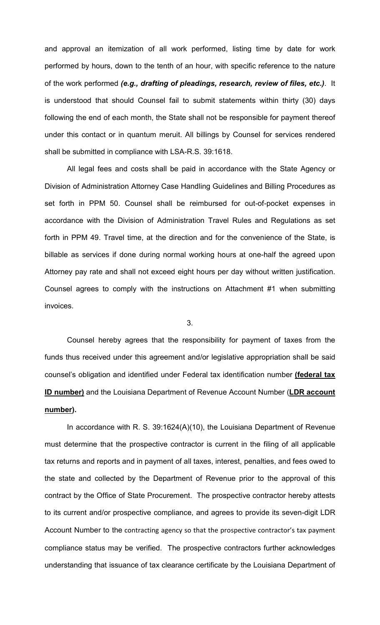and approval an itemization of all work performed, listing time by date for work performed by hours, down to the tenth of an hour, with specific reference to the nature of the work performed (e.g., drafting of pleadings, research, review of files, etc.). It is understood that should Counsel fail to submit statements within thirty (30) days following the end of each month, the State shall not be responsible for payment thereof under this contact or in quantum meruit. All billings by Counsel for services rendered shall be submitted in compliance with LSA-R.S. 39:1618.

 All legal fees and costs shall be paid in accordance with the State Agency or Division of Administration Attorney Case Handling Guidelines and Billing Procedures as set forth in PPM 50. Counsel shall be reimbursed for out-of-pocket expenses in accordance with the Division of Administration Travel Rules and Regulations as set forth in PPM 49. Travel time, at the direction and for the convenience of the State, is billable as services if done during normal working hours at one-half the agreed upon Attorney pay rate and shall not exceed eight hours per day without written justification. Counsel agrees to comply with the instructions on Attachment #1 when submitting invoices.

3.

Counsel hereby agrees that the responsibility for payment of taxes from the funds thus received under this agreement and/or legislative appropriation shall be said counsel's obligation and identified under Federal tax identification number (federal tax ID number) and the Louisiana Department of Revenue Account Number (LDR account number).

 In accordance with R. S. 39:1624(A)(10), the Louisiana Department of Revenue must determine that the prospective contractor is current in the filing of all applicable tax returns and reports and in payment of all taxes, interest, penalties, and fees owed to the state and collected by the Department of Revenue prior to the approval of this contract by the Office of State Procurement. The prospective contractor hereby attests to its current and/or prospective compliance, and agrees to provide its seven-digit LDR Account Number to the contracting agency so that the prospective contractor's tax payment compliance status may be verified. The prospective contractors further acknowledges understanding that issuance of tax clearance certificate by the Louisiana Department of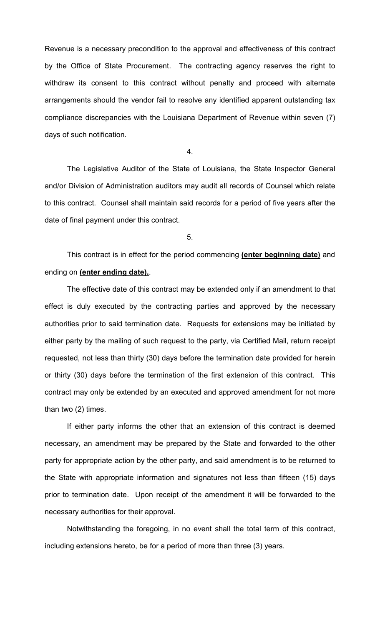Revenue is a necessary precondition to the approval and effectiveness of this contract by the Office of State Procurement. The contracting agency reserves the right to withdraw its consent to this contract without penalty and proceed with alternate arrangements should the vendor fail to resolve any identified apparent outstanding tax compliance discrepancies with the Louisiana Department of Revenue within seven (7) days of such notification.

4.

 The Legislative Auditor of the State of Louisiana, the State Inspector General and/or Division of Administration auditors may audit all records of Counsel which relate to this contract. Counsel shall maintain said records for a period of five years after the date of final payment under this contract.

5.

This contract is in effect for the period commencing (enter beginning date) and ending on (enter ending date).

The effective date of this contract may be extended only if an amendment to that effect is duly executed by the contracting parties and approved by the necessary authorities prior to said termination date. Requests for extensions may be initiated by either party by the mailing of such request to the party, via Certified Mail, return receipt requested, not less than thirty (30) days before the termination date provided for herein or thirty (30) days before the termination of the first extension of this contract. This contract may only be extended by an executed and approved amendment for not more than two (2) times.

If either party informs the other that an extension of this contract is deemed necessary, an amendment may be prepared by the State and forwarded to the other party for appropriate action by the other party, and said amendment is to be returned to the State with appropriate information and signatures not less than fifteen (15) days prior to termination date. Upon receipt of the amendment it will be forwarded to the necessary authorities for their approval.

 Notwithstanding the foregoing, in no event shall the total term of this contract, including extensions hereto, be for a period of more than three (3) years.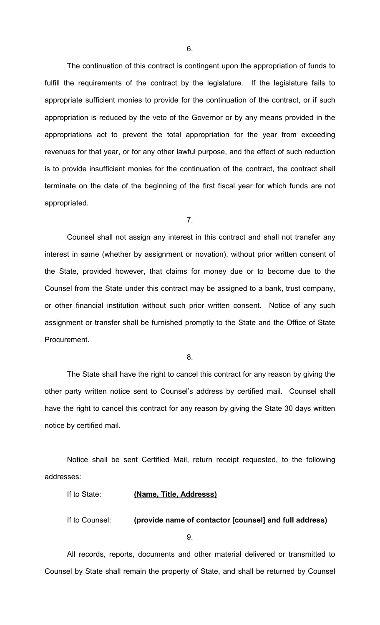The continuation of this contract is contingent upon the appropriation of funds to fulfill the requirements of the contract by the legislature. If the legislature fails to appropriate sufficient monies to provide for the continuation of the contract, or if such appropriation is reduced by the veto of the Governor or by any means provided in the appropriations act to prevent the total appropriation for the year from exceeding revenues for that year, or for any other lawful purpose, and the effect of such reduction is to provide insufficient monies for the continuation of the contract, the contract shall terminate on the date of the beginning of the first fiscal year for which funds are not appropriated.

7.

 Counsel shall not assign any interest in this contract and shall not transfer any interest in same (whether by assignment or novation), without prior written consent of the State, provided however, that claims for money due or to become due to the Counsel from the State under this contract may be assigned to a bank, trust company, or other financial institution without such prior written consent. Notice of any such assignment or transfer shall be furnished promptly to the State and the Office of State Procurement.

8.

 The State shall have the right to cancel this contract for any reason by giving the other party written notice sent to Counsel's address by certified mail. Counsel shall have the right to cancel this contract for any reason by giving the State 30 days written notice by certified mail.

 Notice shall be sent Certified Mail, return receipt requested, to the following addresses:

| If to State: | (Name, Title, Addresss) |
|--------------|-------------------------|
|              |                         |

If to Counsel: (provide name of contactor [counsel] and full address)

9.

 All records, reports, documents and other material delivered or transmitted to Counsel by State shall remain the property of State, and shall be returned by Counsel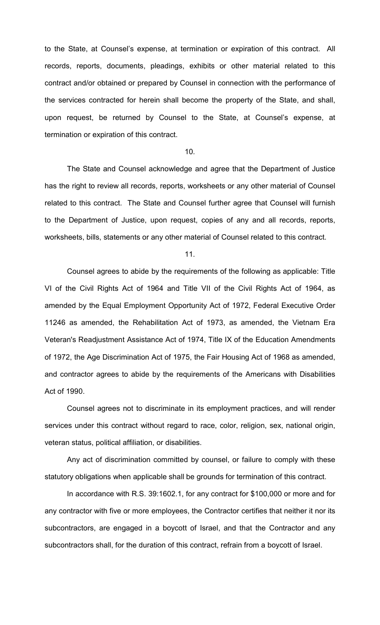to the State, at Counsel's expense, at termination or expiration of this contract. All records, reports, documents, pleadings, exhibits or other material related to this contract and/or obtained or prepared by Counsel in connection with the performance of the services contracted for herein shall become the property of the State, and shall, upon request, be returned by Counsel to the State, at Counsel's expense, at termination or expiration of this contract.

### 10.

 The State and Counsel acknowledge and agree that the Department of Justice has the right to review all records, reports, worksheets or any other material of Counsel related to this contract. The State and Counsel further agree that Counsel will furnish to the Department of Justice, upon request, copies of any and all records, reports, worksheets, bills, statements or any other material of Counsel related to this contract.

11.

 Counsel agrees to abide by the requirements of the following as applicable: Title VI of the Civil Rights Act of 1964 and Title VII of the Civil Rights Act of 1964, as amended by the Equal Employment Opportunity Act of 1972, Federal Executive Order 11246 as amended, the Rehabilitation Act of 1973, as amended, the Vietnam Era Veteran's Readjustment Assistance Act of 1974, Title IX of the Education Amendments of 1972, the Age Discrimination Act of 1975, the Fair Housing Act of 1968 as amended, and contractor agrees to abide by the requirements of the Americans with Disabilities Act of 1990.

 Counsel agrees not to discriminate in its employment practices, and will render services under this contract without regard to race, color, religion, sex, national origin, veteran status, political affiliation, or disabilities.

 Any act of discrimination committed by counsel, or failure to comply with these statutory obligations when applicable shall be grounds for termination of this contract.

In accordance with R.S. 39:1602.1, for any contract for \$100,000 or more and for any contractor with five or more employees, the Contractor certifies that neither it nor its subcontractors, are engaged in a boycott of Israel, and that the Contractor and any subcontractors shall, for the duration of this contract, refrain from a boycott of Israel.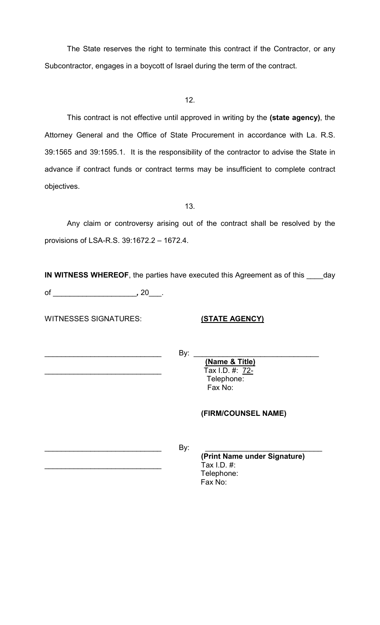The State reserves the right to terminate this contract if the Contractor, or any Subcontractor, engages in a boycott of Israel during the term of the contract.

12.

This contract is not effective until approved in writing by the (state agency), the Attorney General and the Office of State Procurement in accordance with La. R.S. 39:1565 and 39:1595.1. It is the responsibility of the contractor to advise the State in advance if contract funds or contract terms may be insufficient to complete contract objectives.

13.

 Any claim or controversy arising out of the contract shall be resolved by the provisions of LSA-R.S. 39:1672.2 – 1672.4.

IN WITNESS WHEREOF, the parties have executed this Agreement as of this \_\_\_\_day of \_\_\_\_\_\_\_\_\_\_\_\_\_\_\_\_\_\_\_\_, 20\_\_\_.

WITNESSES SIGNATURES: (STATE AGENCY)

 $\blacksquare$   $\blacksquare$   $\blacksquare$   $\blacksquare$   $\blacksquare$   $\blacksquare$   $\blacksquare$   $\blacksquare$   $\blacksquare$   $\blacksquare$   $\blacksquare$   $\blacksquare$   $\blacksquare$   $\blacksquare$   $\blacksquare$   $\blacksquare$   $\blacksquare$   $\blacksquare$   $\blacksquare$   $\blacksquare$   $\blacksquare$   $\blacksquare$   $\blacksquare$   $\blacksquare$   $\blacksquare$   $\blacksquare$   $\blacksquare$   $\blacksquare$   $\blacksquare$   $\blacksquare$   $\blacksquare$   $\blacks$ 

 (Name & Title)  $\overline{Tax}$  I.D. #: 72- Telephone: Fax No:

# (FIRM/COUNSEL NAME)

 $\blacksquare$   $\blacksquare$   $\blacksquare$   $\blacksquare$   $\blacksquare$   $\blacksquare$   $\blacksquare$   $\blacksquare$   $\blacksquare$   $\blacksquare$   $\blacksquare$   $\blacksquare$   $\blacksquare$   $\blacksquare$   $\blacksquare$   $\blacksquare$   $\blacksquare$   $\blacksquare$   $\blacksquare$   $\blacksquare$   $\blacksquare$   $\blacksquare$   $\blacksquare$   $\blacksquare$   $\blacksquare$   $\blacksquare$   $\blacksquare$   $\blacksquare$   $\blacksquare$   $\blacksquare$   $\blacksquare$   $\blacks$ 

 (Print Name under Signature) Tax I.D.  $#$ : Telephone: Fax No: